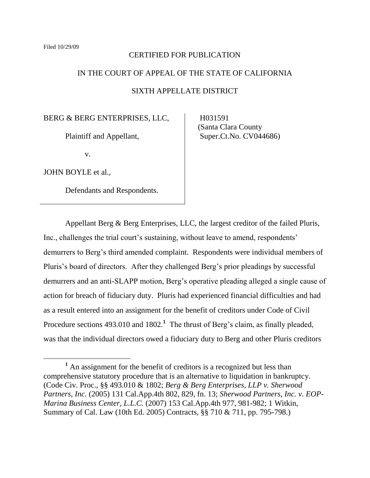#### CERTIFIED FOR PUBLICATION

## IN THE COURT OF APPEAL OF THE STATE OF CALIFORNIA

#### SIXTH APPELLATE DISTRICT

BERG & BERG ENTERPRISES, LLC,

Plaintiff and Appellant,

v.

JOHN BOYLE et al.,

 $\overline{a}$ 

Defendants and Respondents.

 H031591 (Santa Clara County Super.Ct.No. CV044686)

Appellant Berg & Berg Enterprises, LLC, the largest creditor of the failed Pluris, Inc., challenges the trial court's sustaining, without leave to amend, respondents' demurrers to Berg's third amended complaint. Respondents were individual members of Pluris's board of directors. After they challenged Berg's prior pleadings by successful demurrers and an anti-SLAPP motion, Berg"s operative pleading alleged a single cause of action for breach of fiduciary duty. Pluris had experienced financial difficulties and had as a result entered into an assignment for the benefit of creditors under Code of Civil Procedure sections 493.010 and 1802.<sup>1</sup> The thrust of Berg's claim, as finally pleaded, was that the individual directors owed a fiduciary duty to Berg and other Pluris creditors

**<sup>1</sup>** An assignment for the benefit of creditors is a recognized but less than comprehensive statutory procedure that is an alternative to liquidation in bankruptcy. (Code Civ. Proc., §§ 493.010 & 1802; *Berg & Berg Enterprises, LLP v. Sherwood Partners, Inc.* (2005) 131 Cal.App.4th 802, 829, fn. 13; *Sherwood Partners, Inc. v. EOP-Marina Business Center, L.L.C.* (2007) 153 Cal.App.4th 977, 981-982; 1 Witkin, Summary of Cal. Law (10th Ed. 2005) Contracts, §§ 710 & 711, pp. 795-798.)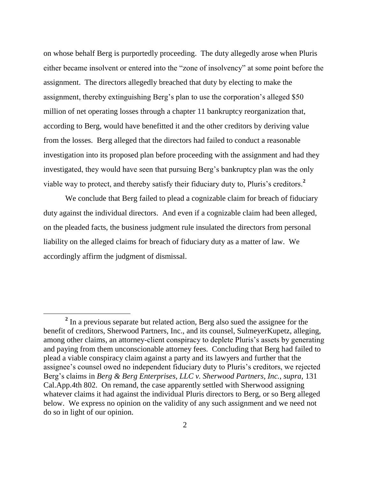on whose behalf Berg is purportedly proceeding. The duty allegedly arose when Pluris either became insolvent or entered into the "zone of insolvency" at some point before the assignment. The directors allegedly breached that duty by electing to make the assignment, thereby extinguishing Berg's plan to use the corporation's alleged \$50 million of net operating losses through a chapter 11 bankruptcy reorganization that, according to Berg, would have benefitted it and the other creditors by deriving value from the losses. Berg alleged that the directors had failed to conduct a reasonable investigation into its proposed plan before proceeding with the assignment and had they investigated, they would have seen that pursuing Berg"s bankruptcy plan was the only viable way to protect, and thereby satisfy their fiduciary duty to, Pluris's creditors.<sup>2</sup>

We conclude that Berg failed to plead a cognizable claim for breach of fiduciary duty against the individual directors. And even if a cognizable claim had been alleged, on the pleaded facts, the business judgment rule insulated the directors from personal liability on the alleged claims for breach of fiduciary duty as a matter of law. We accordingly affirm the judgment of dismissal.

<sup>&</sup>lt;sup>2</sup> In a previous separate but related action, Berg also sued the assignee for the benefit of creditors, Sherwood Partners, Inc., and its counsel, SulmeyerKupetz, alleging, among other claims, an attorney-client conspiracy to deplete Pluris's assets by generating and paying from them unconscionable attorney fees. Concluding that Berg had failed to plead a viable conspiracy claim against a party and its lawyers and further that the assignee's counsel owed no independent fiduciary duty to Pluris's creditors, we rejected Berg"s claims in *Berg & Berg Enterprises, LLC v. Sherwood Partners, Inc., supra,* 131 Cal.App.4th 802. On remand, the case apparently settled with Sherwood assigning whatever claims it had against the individual Pluris directors to Berg, or so Berg alleged below. We express no opinion on the validity of any such assignment and we need not do so in light of our opinion.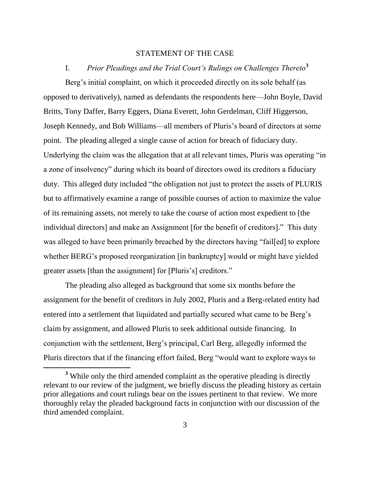#### STATEMENT OF THE CASE

### I. *Prior Pleadings and the Trial Court's Rulings on Challenges Thereto***<sup>3</sup>**

Berg's initial complaint, on which it proceeded directly on its sole behalf (as opposed to derivatively), named as defendants the respondents here—John Boyle, David Britts, Tony Daffer, Barry Eggers, Diana Everett, John Gerdelman, Cliff Higgerson, Joseph Kennedy, and Bob Williams—all members of Pluris"s board of directors at some point. The pleading alleged a single cause of action for breach of fiduciary duty. Underlying the claim was the allegation that at all relevant times, Pluris was operating "in a zone of insolvency" during which its board of directors owed its creditors a fiduciary duty. This alleged duty included "the obligation not just to protect the assets of PLURIS but to affirmatively examine a range of possible courses of action to maximize the value of its remaining assets, not merely to take the course of action most expedient to [the individual directors] and make an Assignment [for the benefit of creditors]." This duty was alleged to have been primarily breached by the directors having "fail[ed] to explore whether BERG's proposed reorganization [in bankruptcy] would or might have yielded greater assets [than the assignment] for [Pluris's] creditors."

The pleading also alleged as background that some six months before the assignment for the benefit of creditors in July 2002, Pluris and a Berg-related entity had entered into a settlement that liquidated and partially secured what came to be Berg"s claim by assignment, and allowed Pluris to seek additional outside financing. In conjunction with the settlement, Berg"s principal, Carl Berg, allegedly informed the Pluris directors that if the financing effort failed, Berg "would want to explore ways to

**<sup>3</sup>** While only the third amended complaint as the operative pleading is directly relevant to our review of the judgment, we briefly discuss the pleading history as certain prior allegations and court rulings bear on the issues pertinent to that review. We more thoroughly relay the pleaded background facts in conjunction with our discussion of the third amended complaint.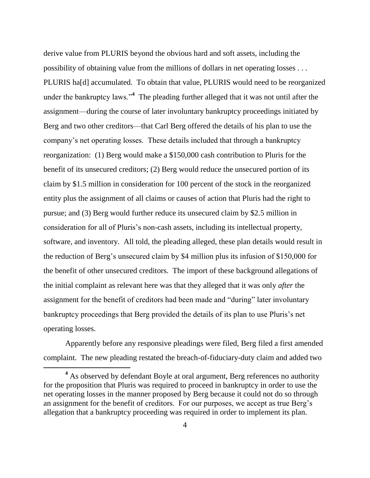derive value from PLURIS beyond the obvious hard and soft assets, including the possibility of obtaining value from the millions of dollars in net operating losses . . . PLURIS ha[d] accumulated. To obtain that value, PLURIS would need to be reorganized under the bankruptcy laws."**<sup>4</sup>** The pleading further alleged that it was not until after the assignment—during the course of later involuntary bankruptcy proceedings initiated by Berg and two other creditors—that Carl Berg offered the details of his plan to use the company"s net operating losses. These details included that through a bankruptcy reorganization: (1) Berg would make a \$150,000 cash contribution to Pluris for the benefit of its unsecured creditors; (2) Berg would reduce the unsecured portion of its claim by \$1.5 million in consideration for 100 percent of the stock in the reorganized entity plus the assignment of all claims or causes of action that Pluris had the right to pursue; and (3) Berg would further reduce its unsecured claim by \$2.5 million in consideration for all of Pluris"s non-cash assets, including its intellectual property, software, and inventory. All told, the pleading alleged, these plan details would result in the reduction of Berg"s unsecured claim by \$4 million plus its infusion of \$150,000 for the benefit of other unsecured creditors. The import of these background allegations of the initial complaint as relevant here was that they alleged that it was only *after* the assignment for the benefit of creditors had been made and "during" later involuntary bankruptcy proceedings that Berg provided the details of its plan to use Pluris"s net operating losses.

Apparently before any responsive pleadings were filed, Berg filed a first amended complaint. The new pleading restated the breach-of-fiduciary-duty claim and added two

<sup>&</sup>lt;sup>4</sup> As observed by defendant Boyle at oral argument, Berg references no authority for the proposition that Pluris was required to proceed in bankruptcy in order to use the net operating losses in the manner proposed by Berg because it could not do so through an assignment for the benefit of creditors. For our purposes, we accept as true Berg"s allegation that a bankruptcy proceeding was required in order to implement its plan.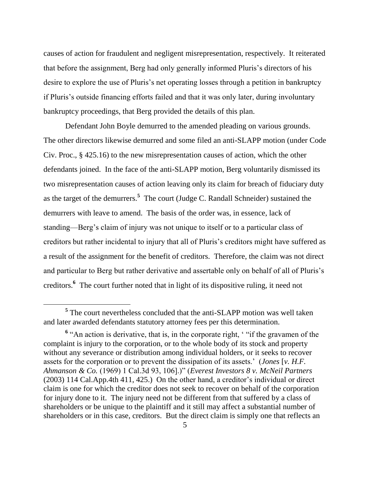causes of action for fraudulent and negligent misrepresentation, respectively. It reiterated that before the assignment, Berg had only generally informed Pluris"s directors of his desire to explore the use of Pluris's net operating losses through a petition in bankruptcy if Pluris"s outside financing efforts failed and that it was only later, during involuntary bankruptcy proceedings, that Berg provided the details of this plan.

Defendant John Boyle demurred to the amended pleading on various grounds. The other directors likewise demurred and some filed an anti-SLAPP motion (under Code Civ. Proc., § 425.16) to the new misrepresentation causes of action, which the other defendants joined. In the face of the anti-SLAPP motion, Berg voluntarily dismissed its two misrepresentation causes of action leaving only its claim for breach of fiduciary duty as the target of the demurrers.**<sup>5</sup>** The court (Judge C. Randall Schneider) sustained the demurrers with leave to amend. The basis of the order was, in essence, lack of standing—Berg"s claim of injury was not unique to itself or to a particular class of creditors but rather incidental to injury that all of Pluris"s creditors might have suffered as a result of the assignment for the benefit of creditors. Therefore, the claim was not direct and particular to Berg but rather derivative and assertable only on behalf of all of Pluris"s creditors.**<sup>6</sup>** The court further noted that in light of its dispositive ruling, it need not

<sup>&</sup>lt;sup>5</sup> The court nevertheless concluded that the anti-SLAPP motion was well taken and later awarded defendants statutory attorney fees per this determination.

<sup>&</sup>lt;sup>6</sup> "An action is derivative, that is, in the corporate right, ' "if the gravamen of the complaint is injury to the corporation, or to the whole body of its stock and property without any severance or distribution among individual holders, or it seeks to recover assets for the corporation or to prevent the dissipation of its assets." (*Jones* [*v. H.F. Ahmanson & Co.* (1969) 1 Cal.3d 93, 106].)" (*Everest Investors 8 v. McNeil Partners* (2003) 114 Cal.App.4th 411, 425.) On the other hand, a creditor"s individual or direct claim is one for which the creditor does not seek to recover on behalf of the corporation for injury done to it. The injury need not be different from that suffered by a class of shareholders or be unique to the plaintiff and it still may affect a substantial number of shareholders or in this case, creditors. But the direct claim is simply one that reflects an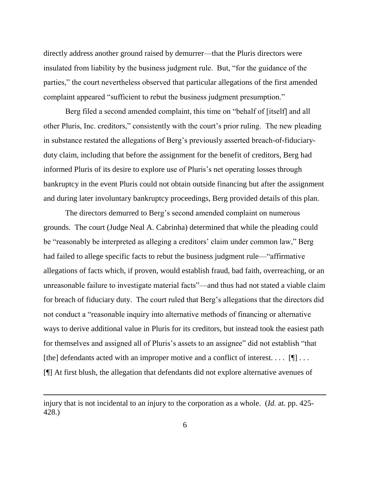directly address another ground raised by demurrer—that the Pluris directors were insulated from liability by the business judgment rule. But, "for the guidance of the parties," the court nevertheless observed that particular allegations of the first amended complaint appeared "sufficient to rebut the business judgment presumption."

Berg filed a second amended complaint, this time on "behalf of [itself] and all other Pluris, Inc. creditors," consistently with the court"s prior ruling. The new pleading in substance restated the allegations of Berg"s previously asserted breach-of-fiduciaryduty claim, including that before the assignment for the benefit of creditors, Berg had informed Pluris of its desire to explore use of Pluris's net operating losses through bankruptcy in the event Pluris could not obtain outside financing but after the assignment and during later involuntary bankruptcy proceedings, Berg provided details of this plan.

The directors demurred to Berg's second amended complaint on numerous grounds. The court (Judge Neal A. Cabrinha) determined that while the pleading could be "reasonably be interpreted as alleging a creditors' claim under common law," Berg had failed to allege specific facts to rebut the business judgment rule—"affirmative allegations of facts which, if proven, would establish fraud, bad faith, overreaching, or an unreasonable failure to investigate material facts"—and thus had not stated a viable claim for breach of fiduciary duty. The court ruled that Berg"s allegations that the directors did not conduct a "reasonable inquiry into alternative methods of financing or alternative ways to derive additional value in Pluris for its creditors, but instead took the easiest path for themselves and assigned all of Pluris's assets to an assignee" did not establish "that [the] defendants acted with an improper motive and a conflict of interest. . . .  $[\P]$ ... [¶] At first blush, the allegation that defendants did not explore alternative avenues of

injury that is not incidental to an injury to the corporation as a whole. (*Id.* at. pp. 425- 428.)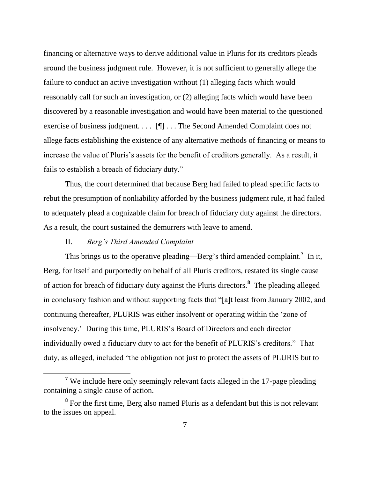financing or alternative ways to derive additional value in Pluris for its creditors pleads around the business judgment rule. However, it is not sufficient to generally allege the failure to conduct an active investigation without (1) alleging facts which would reasonably call for such an investigation, or (2) alleging facts which would have been discovered by a reasonable investigation and would have been material to the questioned exercise of business judgment. . . . [¶] . . . The Second Amended Complaint does not allege facts establishing the existence of any alternative methods of financing or means to increase the value of Pluris's assets for the benefit of creditors generally. As a result, it fails to establish a breach of fiduciary duty."

Thus, the court determined that because Berg had failed to plead specific facts to rebut the presumption of nonliability afforded by the business judgment rule, it had failed to adequately plead a cognizable claim for breach of fiduciary duty against the directors. As a result, the court sustained the demurrers with leave to amend.

#### II. *Berg's Third Amended Complaint*

 $\overline{a}$ 

This brings us to the operative pleading—Berg's third amended complaint.<sup>7</sup> In it, Berg, for itself and purportedly on behalf of all Pluris creditors, restated its single cause of action for breach of fiduciary duty against the Pluris directors.**<sup>8</sup>** The pleading alleged in conclusory fashion and without supporting facts that "[a]t least from January 2002, and continuing thereafter, PLURIS was either insolvent or operating within the "zone of insolvency." During this time, PLURIS"s Board of Directors and each director individually owed a fiduciary duty to act for the benefit of PLURIS"s creditors." That duty, as alleged, included "the obligation not just to protect the assets of PLURIS but to

**<sup>7</sup>** We include here only seemingly relevant facts alleged in the 17-page pleading containing a single cause of action.

**<sup>8</sup>** For the first time, Berg also named Pluris as a defendant but this is not relevant to the issues on appeal.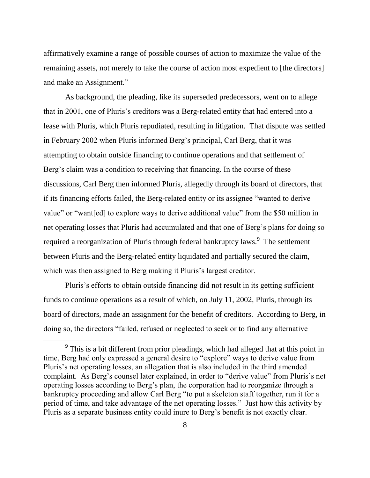affirmatively examine a range of possible courses of action to maximize the value of the remaining assets, not merely to take the course of action most expedient to [the directors] and make an Assignment."

As background, the pleading, like its superseded predecessors, went on to allege that in 2001, one of Pluris's creditors was a Berg-related entity that had entered into a lease with Pluris, which Pluris repudiated, resulting in litigation. That dispute was settled in February 2002 when Pluris informed Berg"s principal, Carl Berg, that it was attempting to obtain outside financing to continue operations and that settlement of Berg's claim was a condition to receiving that financing. In the course of these discussions, Carl Berg then informed Pluris, allegedly through its board of directors, that if its financing efforts failed, the Berg-related entity or its assignee "wanted to derive value" or "want[ed] to explore ways to derive additional value" from the \$50 million in net operating losses that Pluris had accumulated and that one of Berg"s plans for doing so required a reorganization of Pluris through federal bankruptcy laws.**<sup>9</sup>** The settlement between Pluris and the Berg-related entity liquidated and partially secured the claim, which was then assigned to Berg making it Pluris's largest creditor.

Pluris"s efforts to obtain outside financing did not result in its getting sufficient funds to continue operations as a result of which, on July 11, 2002, Pluris, through its board of directors, made an assignment for the benefit of creditors. According to Berg, in doing so, the directors "failed, refused or neglected to seek or to find any alternative

<sup>&</sup>lt;sup>9</sup> This is a bit different from prior pleadings, which had alleged that at this point in time, Berg had only expressed a general desire to "explore" ways to derive value from Pluris"s net operating losses, an allegation that is also included in the third amended complaint. As Berg"s counsel later explained, in order to "derive value" from Pluris"s net operating losses according to Berg"s plan, the corporation had to reorganize through a bankruptcy proceeding and allow Carl Berg "to put a skeleton staff together, run it for a period of time, and take advantage of the net operating losses." Just how this activity by Pluris as a separate business entity could inure to Berg"s benefit is not exactly clear.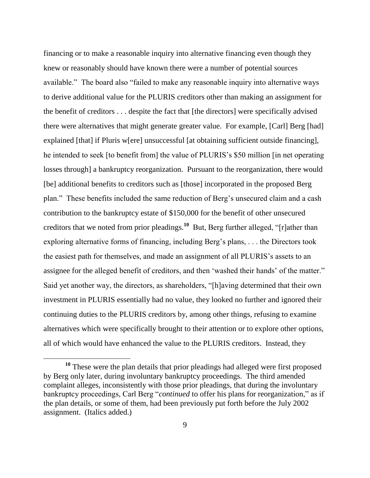financing or to make a reasonable inquiry into alternative financing even though they knew or reasonably should have known there were a number of potential sources available." The board also "failed to make any reasonable inquiry into alternative ways to derive additional value for the PLURIS creditors other than making an assignment for the benefit of creditors . . . despite the fact that [the directors] were specifically advised there were alternatives that might generate greater value. For example, [Carl] Berg [had] explained [that] if Pluris w[ere] unsuccessful [at obtaining sufficient outside financing], he intended to seek [to benefit from] the value of PLURIS"s \$50 million [in net operating losses through] a bankruptcy reorganization. Pursuant to the reorganization, there would [be] additional benefits to creditors such as [those] incorporated in the proposed Berg plan." These benefits included the same reduction of Berg"s unsecured claim and a cash contribution to the bankruptcy estate of \$150,000 for the benefit of other unsecured creditors that we noted from prior pleadings.<sup>10</sup> But, Berg further alleged, "[r]ather than exploring alternative forms of financing, including Berg's plans, ... the Directors took the easiest path for themselves, and made an assignment of all PLURIS"s assets to an assignee for the alleged benefit of creditors, and then "washed their hands" of the matter." Said yet another way, the directors, as shareholders, "[h]aving determined that their own investment in PLURIS essentially had no value, they looked no further and ignored their continuing duties to the PLURIS creditors by, among other things, refusing to examine alternatives which were specifically brought to their attention or to explore other options, all of which would have enhanced the value to the PLURIS creditors. Instead, they

**<sup>10</sup>** These were the plan details that prior pleadings had alleged were first proposed by Berg only later, during involuntary bankruptcy proceedings. The third amended complaint alleges, inconsistently with those prior pleadings, that during the involuntary bankruptcy proceedings, Carl Berg "*continued* to offer his plans for reorganization," as if the plan details, or some of them, had been previously put forth before the July 2002 assignment. (Italics added.)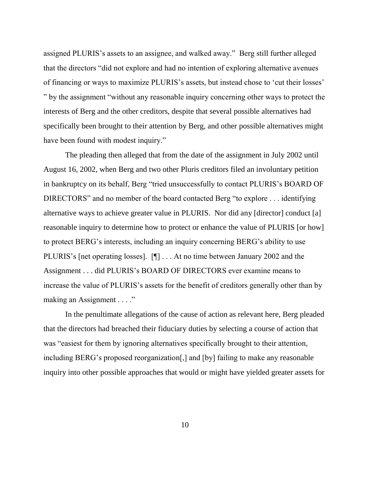assigned PLURIS"s assets to an assignee, and walked away." Berg still further alleged that the directors "did not explore and had no intention of exploring alternative avenues of financing or ways to maximize PLURIS"s assets, but instead chose to "cut their losses" " by the assignment "without any reasonable inquiry concerning other ways to protect the interests of Berg and the other creditors, despite that several possible alternatives had specifically been brought to their attention by Berg, and other possible alternatives might have been found with modest inquiry."

The pleading then alleged that from the date of the assignment in July 2002 until August 16, 2002, when Berg and two other Pluris creditors filed an involuntary petition in bankruptcy on its behalf, Berg "tried unsuccessfully to contact PLURIS"s BOARD OF DIRECTORS" and no member of the board contacted Berg "to explore . . . identifying alternative ways to achieve greater value in PLURIS. Nor did any [director] conduct [a] reasonable inquiry to determine how to protect or enhance the value of PLURIS [or how] to protect BERG"s interests, including an inquiry concerning BERG"s ability to use PLURIS"s [net operating losses]. [¶] . . . At no time between January 2002 and the Assignment . . . did PLURIS"s BOARD OF DIRECTORS ever examine means to increase the value of PLURIS"s assets for the benefit of creditors generally other than by making an Assignment . . . ."

In the penultimate allegations of the cause of action as relevant here, Berg pleaded that the directors had breached their fiduciary duties by selecting a course of action that was "easiest for them by ignoring alternatives specifically brought to their attention, including BERG"s proposed reorganization[,] and [by] failing to make any reasonable inquiry into other possible approaches that would or might have yielded greater assets for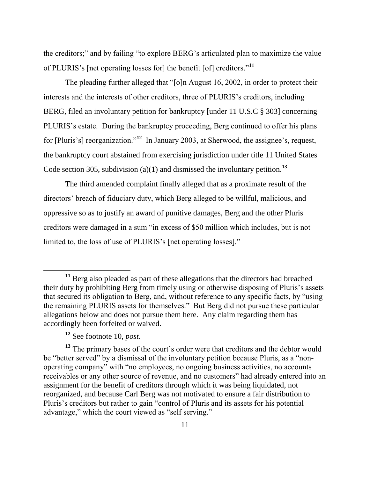the creditors;" and by failing "to explore BERG"s articulated plan to maximize the value of PLURIS"s [net operating losses for] the benefit [of] creditors." **11**

The pleading further alleged that "[o]n August 16, 2002, in order to protect their interests and the interests of other creditors, three of PLURIS"s creditors, including BERG, filed an involuntary petition for bankruptcy [under 11 U.S.C § 303] concerning PLURIS"s estate. During the bankruptcy proceeding, Berg continued to offer his plans for [Pluris's] reorganization."<sup>12</sup> In January 2003, at Sherwood, the assignee's, request, the bankruptcy court abstained from exercising jurisdiction under title 11 United States Code section 305, subdivision (a)(1) and dismissed the involuntary petition.**<sup>13</sup>**

The third amended complaint finally alleged that as a proximate result of the directors" breach of fiduciary duty, which Berg alleged to be willful, malicious, and oppressive so as to justify an award of punitive damages, Berg and the other Pluris creditors were damaged in a sum "in excess of \$50 million which includes, but is not limited to, the loss of use of PLURIS's [net operating losses]."

**<sup>11</sup>** Berg also pleaded as part of these allegations that the directors had breached their duty by prohibiting Berg from timely using or otherwise disposing of Pluris"s assets that secured its obligation to Berg, and, without reference to any specific facts, by "using the remaining PLURIS assets for themselves." But Berg did not pursue these particular allegations below and does not pursue them here. Any claim regarding them has accordingly been forfeited or waived.

**<sup>12</sup>** See footnote 10, *post*.

<sup>&</sup>lt;sup>13</sup> The primary bases of the court's order were that creditors and the debtor would be "better served" by a dismissal of the involuntary petition because Pluris, as a "nonoperating company" with "no employees, no ongoing business activities, no accounts receivables or any other source of revenue, and no customers" had already entered into an assignment for the benefit of creditors through which it was being liquidated, not reorganized, and because Carl Berg was not motivated to ensure a fair distribution to Pluris"s creditors but rather to gain "control of Pluris and its assets for his potential advantage," which the court viewed as "self serving."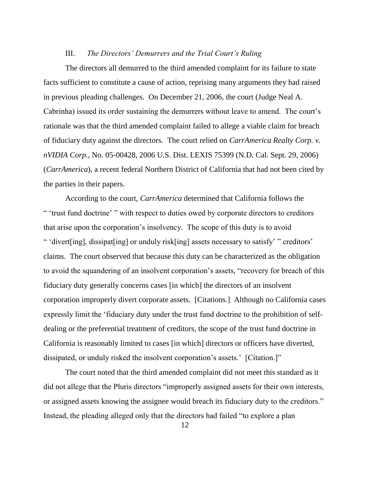#### III. *The Directors' Demurrers and the Trial Court's Ruling*

The directors all demurred to the third amended complaint for its failure to state facts sufficient to constitute a cause of action, reprising many arguments they had raised in previous pleading challenges. On December 21, 2006, the court (Judge Neal A. Cabrinha) issued its order sustaining the demurrers without leave to amend. The court"s rationale was that the third amended complaint failed to allege a viable claim for breach of fiduciary duty against the directors. The court relied on *CarrAmerica Realty Corp. v. nVIDIA Corp.*, No. 05-00428, 2006 U.S. Dist. LEXIS 75399 (N.D. Cal. Sept. 29, 2006) (*CarrAmerica*), a recent federal Northern District of California that had not been cited by the parties in their papers.

According to the court, *CarrAmerica* determined that California follows the " "trust fund doctrine" " with respect to duties owed by corporate directors to creditors that arise upon the corporation"s insolvency. The scope of this duty is to avoid " 'divert[ing], dissipat[ing] or unduly risk[ing] assets necessary to satisfy' " creditors' claims. The court observed that because this duty can be characterized as the obligation to avoid the squandering of an insolvent corporation"s assets, "recovery for breach of this fiduciary duty generally concerns cases [in which] the directors of an insolvent corporation improperly divert corporate assets. [Citations.] Although no California cases expressly limit the "fiduciary duty under the trust fund doctrine to the prohibition of selfdealing or the preferential treatment of creditors, the scope of the trust fund doctrine in California is reasonably limited to cases [in which] directors or officers have diverted, dissipated, or unduly risked the insolvent corporation's assets.' [Citation.]"

The court noted that the third amended complaint did not meet this standard as it did not allege that the Pluris directors "improperly assigned assets for their own interests, or assigned assets knowing the assignee would breach its fiduciary duty to the creditors." Instead, the pleading alleged only that the directors had failed "to explore a plan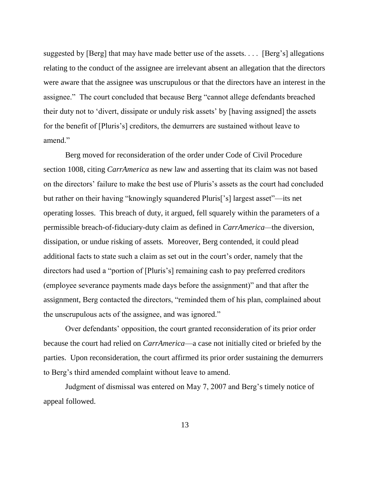suggested by [Berg] that may have made better use of the assets. . . . [Berg"s] allegations relating to the conduct of the assignee are irrelevant absent an allegation that the directors were aware that the assignee was unscrupulous or that the directors have an interest in the assignee." The court concluded that because Berg "cannot allege defendants breached their duty not to "divert, dissipate or unduly risk assets" by [having assigned] the assets for the benefit of [Pluris's] creditors, the demurrers are sustained without leave to amend."

Berg moved for reconsideration of the order under Code of Civil Procedure section 1008, citing *CarrAmerica* as new law and asserting that its claim was not based on the directors" failure to make the best use of Pluris"s assets as the court had concluded but rather on their having "knowingly squandered Pluris["s] largest asset"—its net operating losses. This breach of duty, it argued, fell squarely within the parameters of a permissible breach-of-fiduciary-duty claim as defined in *CarrAmerica—*the diversion, dissipation, or undue risking of assets*.* Moreover, Berg contended, it could plead additional facts to state such a claim as set out in the court's order, namely that the directors had used a "portion of [Pluris"s] remaining cash to pay preferred creditors (employee severance payments made days before the assignment)" and that after the assignment, Berg contacted the directors, "reminded them of his plan, complained about the unscrupulous acts of the assignee, and was ignored."

Over defendants' opposition, the court granted reconsideration of its prior order because the court had relied on *CarrAmerica*—a case not initially cited or briefed by the parties. Upon reconsideration, the court affirmed its prior order sustaining the demurrers to Berg"s third amended complaint without leave to amend.

Judgment of dismissal was entered on May 7, 2007 and Berg"s timely notice of appeal followed.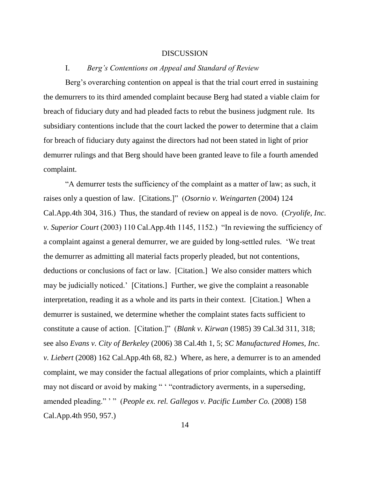#### DISCUSSION

#### I. *Berg's Contentions on Appeal and Standard of Review*

Berg's overarching contention on appeal is that the trial court erred in sustaining the demurrers to its third amended complaint because Berg had stated a viable claim for breach of fiduciary duty and had pleaded facts to rebut the business judgment rule. Its subsidiary contentions include that the court lacked the power to determine that a claim for breach of fiduciary duty against the directors had not been stated in light of prior demurrer rulings and that Berg should have been granted leave to file a fourth amended complaint.

"A demurrer tests the sufficiency of the complaint as a matter of law; as such, it raises only a question of law. [Citations.]" (*Osornio v. Weingarten* (2004) 124 Cal.App.4th 304, 316.) Thus, the standard of review on appeal is de novo. (*Cryolife, Inc. v. Superior Court* (2003) 110 Cal.App.4th 1145, 1152.) "In reviewing the sufficiency of a complaint against a general demurrer, we are guided by long-settled rules. "We treat the demurrer as admitting all material facts properly pleaded, but not contentions, deductions or conclusions of fact or law. [Citation.] We also consider matters which may be judicially noticed." [Citations.] Further, we give the complaint a reasonable interpretation, reading it as a whole and its parts in their context. [Citation.] When a demurrer is sustained, we determine whether the complaint states facts sufficient to constitute a cause of action. [Citation.]" (*Blank v. Kirwan* (1985) 39 Cal.3d 311, 318; see also *Evans v. City of Berkeley* (2006) 38 Cal.4th 1, 5; *SC Manufactured Homes, Inc. v. Liebert* (2008) 162 Cal.App.4th 68, 82.) Where, as here, a demurrer is to an amended complaint, we may consider the factual allegations of prior complaints, which a plaintiff may not discard or avoid by making " " "contradictory averments, in a superseding, amended pleading." " " (*People ex. rel. Gallegos v. Pacific Lumber Co.* (2008) 158 Cal.App.4th 950, 957.)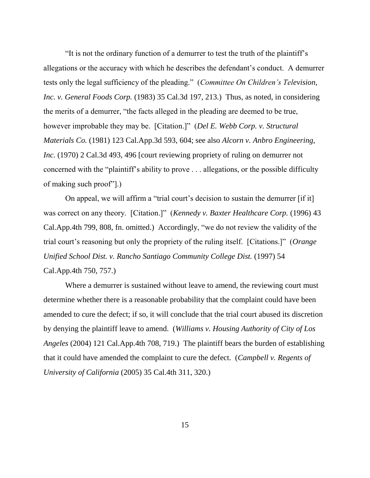"It is not the ordinary function of a demurrer to test the truth of the plaintiff"s allegations or the accuracy with which he describes the defendant"s conduct. A demurrer tests only the legal sufficiency of the pleading." (*Committee On Children's Television, Inc. v. General Foods Corp.* (1983) 35 Cal.3d 197, 213.) Thus, as noted, in considering the merits of a demurrer, "the facts alleged in the pleading are deemed to be true, however improbable they may be. [Citation.]" (*Del E. Webb Corp. v. Structural Materials Co.* (1981) 123 Cal.App.3d 593, 604; see also *Alcorn v. Anbro Engineering, Inc.* (1970) 2 Cal.3d 493, 496 [court reviewing propriety of ruling on demurrer not concerned with the "plaintiff"s ability to prove . . . allegations, or the possible difficulty of making such proof"].)

On appeal, we will affirm a "trial court's decision to sustain the demurrer [if it] was correct on any theory. [Citation.]" (*Kennedy v. Baxter Healthcare Corp.* (1996) 43 Cal.App.4th 799, 808, fn. omitted.) Accordingly, "we do not review the validity of the trial court"s reasoning but only the propriety of the ruling itself. [Citations.]" (*Orange Unified School Dist. v. Rancho Santiago Community College Dist.* (1997) 54 Cal.App.4th 750, 757.)

Where a demurrer is sustained without leave to amend, the reviewing court must determine whether there is a reasonable probability that the complaint could have been amended to cure the defect; if so, it will conclude that the trial court abused its discretion by denying the plaintiff leave to amend. (*Williams v. Housing Authority of City of Los Angeles* (2004) 121 Cal.App.4th 708, 719.) The plaintiff bears the burden of establishing that it could have amended the complaint to cure the defect. (*Campbell v. Regents of University of California* (2005) 35 Cal.4th 311, 320.)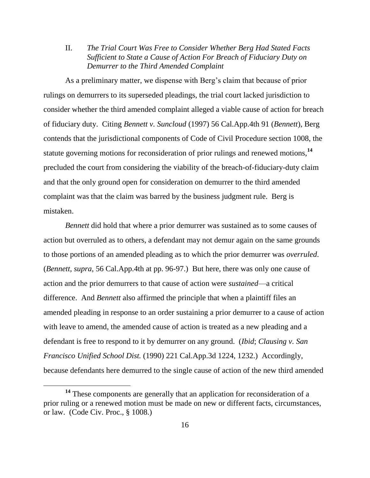II. *The Trial Court Was Free to Consider Whether Berg Had Stated Facts Sufficient to State a Cause of Action For Breach of Fiduciary Duty on Demurrer to the Third Amended Complaint*

As a preliminary matter, we dispense with Berg"s claim that because of prior rulings on demurrers to its superseded pleadings, the trial court lacked jurisdiction to consider whether the third amended complaint alleged a viable cause of action for breach of fiduciary duty. Citing *Bennett v. Suncloud* (1997) 56 Cal.App.4th 91 (*Bennett*), Berg contends that the jurisdictional components of Code of Civil Procedure section 1008, the statute governing motions for reconsideration of prior rulings and renewed motions,**<sup>14</sup>** precluded the court from considering the viability of the breach-of-fiduciary-duty claim and that the only ground open for consideration on demurrer to the third amended complaint was that the claim was barred by the business judgment rule. Berg is mistaken.

*Bennett* did hold that where a prior demurrer was sustained as to some causes of action but overruled as to others, a defendant may not demur again on the same grounds to those portions of an amended pleading as to which the prior demurrer was *overruled*. (*Bennett, supra*, 56 Cal.App.4th at pp. 96-97.) But here, there was only one cause of action and the prior demurrers to that cause of action were *sustained*—a critical difference. And *Bennett* also affirmed the principle that when a plaintiff files an amended pleading in response to an order sustaining a prior demurrer to a cause of action with leave to amend, the amended cause of action is treated as a new pleading and a defendant is free to respond to it by demurrer on any ground. (*Ibid*; *Clausing v. San Francisco Unified School Dist.* (1990) 221 Cal.App.3d 1224, 1232.) Accordingly, because defendants here demurred to the single cause of action of the new third amended

**<sup>14</sup>** These components are generally that an application for reconsideration of a prior ruling or a renewed motion must be made on new or different facts, circumstances, or law. (Code Civ. Proc., § 1008.)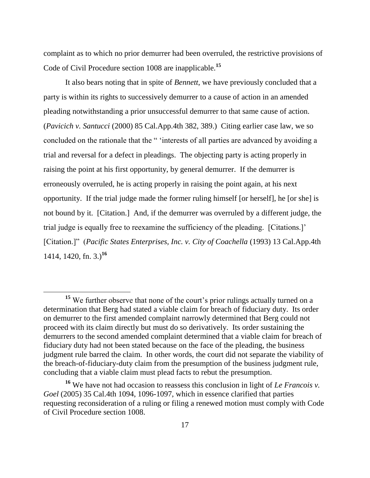complaint as to which no prior demurrer had been overruled, the restrictive provisions of Code of Civil Procedure section 1008 are inapplicable.**<sup>15</sup>**

It also bears noting that in spite of *Bennett*, we have previously concluded that a party is within its rights to successively demurrer to a cause of action in an amended pleading notwithstanding a prior unsuccessful demurrer to that same cause of action. (*Pavicich v. Santucci* (2000) 85 Cal.App.4th 382, 389.) Citing earlier case law, we so concluded on the rationale that the " "interests of all parties are advanced by avoiding a trial and reversal for a defect in pleadings. The objecting party is acting properly in raising the point at his first opportunity, by general demurrer. If the demurrer is erroneously overruled, he is acting properly in raising the point again, at his next opportunity. If the trial judge made the former ruling himself [or herself], he [or she] is not bound by it. [Citation.] And, if the demurrer was overruled by a different judge, the trial judge is equally free to reexamine the sufficiency of the pleading. [Citations.]" [Citation.]" (*Pacific States Enterprises, Inc. v. City of Coachella* (1993) 13 Cal.App.4th 1414, 1420, fn. 3.)**<sup>16</sup>**

<sup>&</sup>lt;sup>15</sup> We further observe that none of the court's prior rulings actually turned on a determination that Berg had stated a viable claim for breach of fiduciary duty. Its order on demurrer to the first amended complaint narrowly determined that Berg could not proceed with its claim directly but must do so derivatively. Its order sustaining the demurrers to the second amended complaint determined that a viable claim for breach of fiduciary duty had not been stated because on the face of the pleading, the business judgment rule barred the claim. In other words, the court did not separate the viability of the breach-of-fiduciary-duty claim from the presumption of the business judgment rule, concluding that a viable claim must plead facts to rebut the presumption.

**<sup>16</sup>** We have not had occasion to reassess this conclusion in light of *Le Francois v. Goel* (2005) 35 Cal.4th 1094, 1096-1097, which in essence clarified that parties requesting reconsideration of a ruling or filing a renewed motion must comply with Code of Civil Procedure section 1008.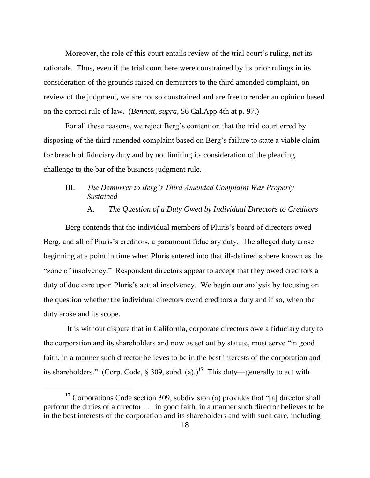Moreover, the role of this court entails review of the trial court's ruling, not its rationale. Thus, even if the trial court here were constrained by its prior rulings in its consideration of the grounds raised on demurrers to the third amended complaint, on review of the judgment, we are not so constrained and are free to render an opinion based on the correct rule of law. (*Bennett, supra*, 56 Cal.App.4th at p. 97.)

For all these reasons, we reject Berg"s contention that the trial court erred by disposing of the third amended complaint based on Berg"s failure to state a viable claim for breach of fiduciary duty and by not limiting its consideration of the pleading challenge to the bar of the business judgment rule.

## III. *The Demurrer to Berg's Third Amended Complaint Was Properly Sustained*

#### A. *The Question of a Duty Owed by Individual Directors to Creditors*

Berg contends that the individual members of Pluris's board of directors owed Berg, and all of Pluris's creditors, a paramount fiduciary duty. The alleged duty arose beginning at a point in time when Pluris entered into that ill-defined sphere known as the "zone of insolvency." Respondent directors appear to accept that they owed creditors a duty of due care upon Pluris's actual insolvency. We begin our analysis by focusing on the question whether the individual directors owed creditors a duty and if so, when the duty arose and its scope.

It is without dispute that in California, corporate directors owe a fiduciary duty to the corporation and its shareholders and now as set out by statute, must serve "in good faith, in a manner such director believes to be in the best interests of the corporation and its shareholders." (Corp. Code,  $\S 309$ , subd. (a).)<sup>17</sup> This duty—generally to act with

**<sup>17</sup>** Corporations Code section 309, subdivision (a) provides that "[a] director shall perform the duties of a director . . . in good faith, in a manner such director believes to be in the best interests of the corporation and its shareholders and with such care, including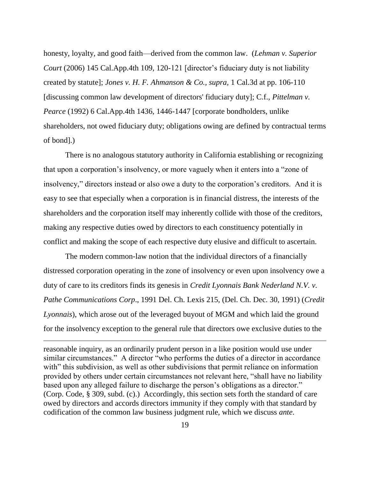honesty, loyalty, and good faith—derived from the common law. (*Lehman v. Superior Court* (2006) 145 Cal.App.4th 109, 120-121 [director's fiduciary duty is not liability created by statute]; *Jones v. H. F. Ahmanson & Co., supra,* 1 Cal.3d at pp. 106-110 [discussing common law development of directors' fiduciary duty]; C.f., *Pittelman v. Pearce* (1992) 6 Cal.App.4th 1436, 1446-1447 [corporate bondholders, unlike shareholders, not owed fiduciary duty; obligations owing are defined by contractual terms of bond].)

There is no analogous statutory authority in California establishing or recognizing that upon a corporation"s insolvency, or more vaguely when it enters into a "zone of insolvency," directors instead or also owe a duty to the corporation's creditors. And it is easy to see that especially when a corporation is in financial distress, the interests of the shareholders and the corporation itself may inherently collide with those of the creditors, making any respective duties owed by directors to each constituency potentially in conflict and making the scope of each respective duty elusive and difficult to ascertain.

The modern common-law notion that the individual directors of a financially distressed corporation operating in the zone of insolvency or even upon insolvency owe a duty of care to its creditors finds its genesis in *Credit Lyonnais Bank Nederland N.V. v. Pathe Communications Corp*., 1991 Del. Ch. Lexis 215, (Del. Ch. Dec. 30, 1991) (*Credit Lyonnais*), which arose out of the leveraged buyout of MGM and which laid the ground for the insolvency exception to the general rule that directors owe exclusive duties to the

reasonable inquiry, as an ordinarily prudent person in a like position would use under similar circumstances." A director "who performs the duties of a director in accordance with" this subdivision, as well as other subdivisions that permit reliance on information provided by others under certain circumstances not relevant here, "shall have no liability based upon any alleged failure to discharge the person's obligations as a director." (Corp. Code, § 309, subd. (c).) Accordingly, this section sets forth the standard of care owed by directors and accords directors immunity if they comply with that standard by codification of the common law business judgment rule, which we discuss *ante*.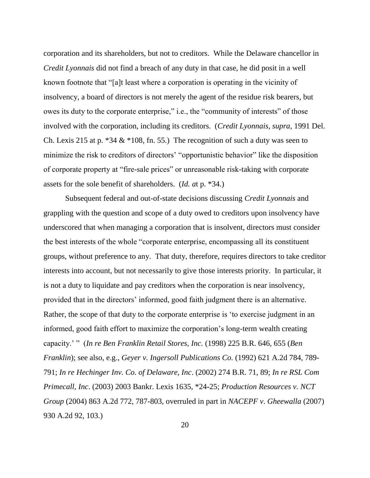corporation and its shareholders, but not to creditors. While the Delaware chancellor in *Credit Lyonnais* did not find a breach of any duty in that case, he did posit in a well known footnote that "[a]t least where a corporation is operating in the vicinity of insolvency, a board of directors is not merely the agent of the residue risk bearers, but owes its duty to the corporate enterprise," i.e., the "community of interests" of those involved with the corporation, including its creditors. (*Credit Lyonnais, supra*, 1991 Del. Ch. Lexis 215 at p.  $*34 \& 108$ , fn. 55.) The recognition of such a duty was seen to minimize the risk to creditors of directors' "opportunistic behavior" like the disposition of corporate property at "fire-sale prices" or unreasonable risk-taking with corporate assets for the sole benefit of shareholders. (*Id. a*t p. \*34.)

Subsequent federal and out-of-state decisions discussing *Credit Lyonnais* and grappling with the question and scope of a duty owed to creditors upon insolvency have underscored that when managing a corporation that is insolvent, directors must consider the best interests of the whole "corporate enterprise, encompassing all its constituent groups, without preference to any. That duty, therefore, requires directors to take creditor interests into account, but not necessarily to give those interests priority. In particular, it is not a duty to liquidate and pay creditors when the corporation is near insolvency, provided that in the directors" informed, good faith judgment there is an alternative. Rather, the scope of that duty to the corporate enterprise is "to exercise judgment in an informed, good faith effort to maximize the corporation"s long-term wealth creating capacity." " (*In re Ben Franklin Retail Stores, Inc.* (1998) 225 B.R. 646, 655 (*Ben Franklin*); see also, e.g., *Geyer v. Ingersoll Publications Co.* (1992) 621 A.2d 784, 789- 791; *In re Hechinger Inv. Co. of Delaware, Inc*. (2002) 274 B.R. 71, 89; *In re RSL Com Primecall, Inc*. (2003) 2003 Bankr. Lexis 1635, \*24**-**25; *Production Resources v. NCT Group* (2004) 863 A.2d 772, 787-803, overruled in part in *NACEPF v*. *Gheewalla* (2007) 930 A.2d 92, 103.)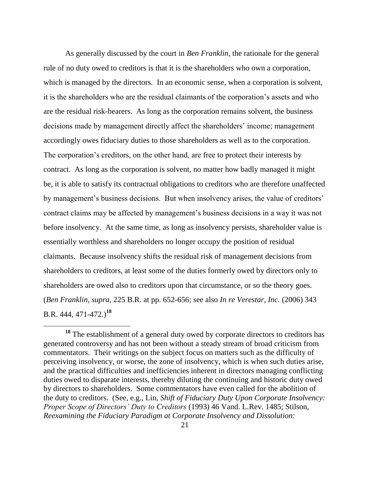As generally discussed by the court in *Ben Franklin*, the rationale for the general rule of no duty owed to creditors is that it is the shareholders who own a corporation, which is managed by the directors. In an economic sense, when a corporation is solvent, it is the shareholders who are the residual claimants of the corporation"s assets and who are the residual risk-bearers. As long as the corporation remains solvent, the business decisions made by management directly affect the shareholders" income; management accordingly owes fiduciary duties to those shareholders as well as to the corporation. The corporation's creditors, on the other hand, are free to protect their interests by contract. As long as the corporation is solvent, no matter how badly managed it might be, it is able to satisfy its contractual obligations to creditors who are therefore unaffected by management's business decisions. But when insolvency arises, the value of creditors' contract claims may be affected by management's business decisions in a way it was not before insolvency. At the same time, as long as insolvency persists, shareholder value is essentially worthless and shareholders no longer occupy the position of residual claimants. Because insolvency shifts the residual risk of management decisions from shareholders to creditors, at least some of the duties formerly owed by directors only to shareholders are owed also to creditors upon that circumstance, or so the theory goes. (*Ben Franklin, supra*, 225 B.R. at pp. 652-656; see also *In re Verestar, Inc.* (2006) 343 B.R. 444, 471-472.)**<sup>18</sup>**

**<sup>18</sup>** The establishment of a general duty owed by corporate directors to creditors has generated controversy and has not been without a steady stream of broad criticism from commentators. Their writings on the subject focus on matters such as the difficulty of perceiving insolvency, or worse, the zone of insolvency, which is when such duties arise, and the practical difficulties and inefficiencies inherent in directors managing conflicting duties owed to disparate interests, thereby diluting the continuing and historic duty owed by directors to shareholders. Some commentators have even called for the abolition of the duty to creditors. (See, e.g., Lin, *Shift of Fiduciary Duty Upon Corporate Insolvency: Proper Scope of Directors' Duty to Creditors* (1993) 46 Vand. L.Rev. 1485; Stilson, *Reexamining the Fiduciary Paradigm at Corporate Insolvency and Dissolution:*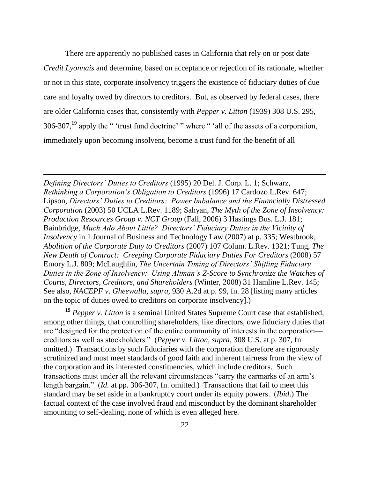There are apparently no published cases in California that rely on or post date *Credit Lyonnais* and determine, based on acceptance or rejection of its rationale, whether or not in this state, corporate insolvency triggers the existence of fiduciary duties of due care and loyalty owed by directors to creditors. But, as observed by federal cases, there are older California cases that, consistently with *Pepper v. Litton* (1939) 308 U.S. 295, 306-307,<sup>19</sup> apply the " 'trust fund doctrine' " where " 'all of the assets of a corporation, immediately upon becoming insolvent, become a trust fund for the benefit of all

*Defining Directors' Duties to Creditors* (1995) 20 Del. J. Corp. L. 1; Schwarz, *Rethinking a Corporation's Obligation to Creditors* (1996) 17 Cardozo L.Rev. 647; Lipson, *Directors' Duties to Creditors: Power Imbalance and the Financially Distressed Corporation* (2003) 50 UCLA L.Rev. 1189; Sahyan, *The Myth of the Zone of Insolvency: Production Resources Group v. NCT Group* (Fall, 2006) 3 Hastings Bus. L.J. 181; Bainbridge, *Much Ado About Little? Directors' Fiduciary Duties in the Vicinity of Insolvency* in 1 Journal of Business and Technology Law (2007) at p. 335; Westbrook, *Abolition of the Corporate Duty to Creditors* (2007) 107 Colum. L.Rev. 1321; Tung, *The New Death of Contract: Creeping Corporate Fiduciary Duties For Creditors* (2008) 57 Emory L.J. 809; McLaughlin, *The Uncertain Timing of Directors' Shifting Fiduciary Duties in the Zone of Insolvency: Using Altman's Z-Score to Synchronize the Watches of Courts, Directors, Creditors, and Shareholders* (Winter, 2008) 31 Hamline L.Rev. 145; See also, *NACEPF v*. *Gheewalla, supra,* 930 A.2d at p. 99, fn. 28 [listing many articles on the topic of duties owed to creditors on corporate insolvency].)

**<sup>19</sup>** *Pepper v. Litton* is a seminal United States Supreme Court case that established, among other things, that controlling shareholders, like directors, owe fiduciary duties that are "designed for the protection of the entire community of interests in the corporation creditors as well as stockholders." (*Pepper v. Litton, supra*, 308 U.S. at p. 307, fn omitted.) Transactions by such fiduciaries with the corporation therefore are rigorously scrutinized and must meet standards of good faith and inherent fairness from the view of the corporation and its interested constituencies, which include creditors. Such transactions must under all the relevant circumstances "carry the earmarks of an arm"s length bargain." (*Id.* at pp. 306-307, fn. omitted.) Transactions that fail to meet this standard may be set aside in a bankruptcy court under its equity powers. (*Ibid*.) The factual context of the case involved fraud and misconduct by the dominant shareholder amounting to self-dealing, none of which is even alleged here.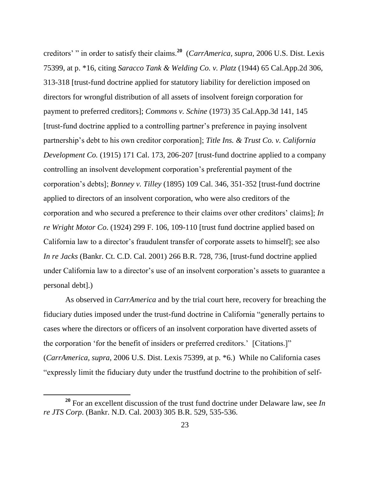creditors" " in order to satisfy their claims.**<sup>20</sup>** (*CarrAmerica, supra*, 2006 U.S. Dist. Lexis 75399, at p. \*16, citing *Saracco Tank & Welding Co. v. Platz* (1944) 65 Cal.App.2d 306, 313-318 [trust-fund doctrine applied for statutory liability for dereliction imposed on directors for wrongful distribution of all assets of insolvent foreign corporation for payment to preferred creditors]; *Commons v. Schine* (1973) 35 Cal.App.3d 141, 145 [trust-fund doctrine applied to a controlling partner"s preference in paying insolvent partnership's debt to his own creditor corporation]; *Title Ins. & Trust Co. v. California Development Co.* (1915) 171 Cal. 173, 206-207 [trust-fund doctrine applied to a company controlling an insolvent development corporation"s preferential payment of the corporation"s debts]; *Bonney v. Tilley* (1895) 109 Cal. 346, 351-352 [trust-fund doctrine applied to directors of an insolvent corporation, who were also creditors of the corporation and who secured a preference to their claims over other creditors" claims]; *In re Wright Motor Co*. (1924) 299 F. 106, 109-110 [trust fund doctrine applied based on California law to a director's fraudulent transfer of corporate assets to himself]; see also *In re Jacks* (Bankr. Ct. C.D. Cal. 2001) 266 B.R. 728, 736, [trust-fund doctrine applied under California law to a director's use of an insolvent corporation's assets to guarantee a personal debt].)

As observed in *CarrAmerica* and by the trial court here, recovery for breaching the fiduciary duties imposed under the trust-fund doctrine in California "generally pertains to cases where the directors or officers of an insolvent corporation have diverted assets of the corporation "for the benefit of insiders or preferred creditors." [Citations.]" (*CarrAmerica, supra*, 2006 U.S. Dist. Lexis 75399, at p. \*6.) While no California cases "expressly limit the fiduciary duty under the trustfund doctrine to the prohibition of self-

**<sup>20</sup>** For an excellent discussion of the trust fund doctrine under Delaware law, see *In re JTS Corp*. (Bankr. N.D. Cal. 2003) 305 B.R. 529, 535-536.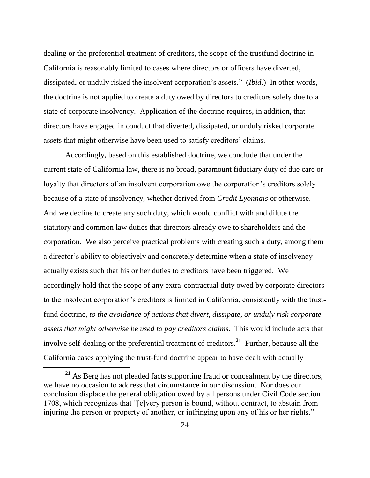dealing or the preferential treatment of creditors, the scope of the trustfund doctrine in California is reasonably limited to cases where directors or officers have diverted, dissipated, or unduly risked the insolvent corporation"s assets." (*Ibid*.) In other words, the doctrine is not applied to create a duty owed by directors to creditors solely due to a state of corporate insolvency. Application of the doctrine requires, in addition, that directors have engaged in conduct that diverted, dissipated, or unduly risked corporate assets that might otherwise have been used to satisfy creditors' claims.

Accordingly, based on this established doctrine, we conclude that under the current state of California law, there is no broad, paramount fiduciary duty of due care or loyalty that directors of an insolvent corporation owe the corporation's creditors solely because of a state of insolvency, whether derived from *Credit Lyonnais* or otherwise. And we decline to create any such duty, which would conflict with and dilute the statutory and common law duties that directors already owe to shareholders and the corporation. We also perceive practical problems with creating such a duty, among them a director's ability to objectively and concretely determine when a state of insolvency actually exists such that his or her duties to creditors have been triggered. We accordingly hold that the scope of any extra-contractual duty owed by corporate directors to the insolvent corporation"s creditors is limited in California, consistently with the trustfund doctrine, *to the avoidance of actions that divert, dissipate, or unduly risk corporate assets that might otherwise be used to pay creditors claims.* This would include acts that involve self-dealing or the preferential treatment of creditors.**<sup>21</sup>** Further, because all the California cases applying the trust-fund doctrine appear to have dealt with actually

**<sup>21</sup>** As Berg has not pleaded facts supporting fraud or concealment by the directors, we have no occasion to address that circumstance in our discussion. Nor does our conclusion displace the general obligation owed by all persons under Civil Code section 1708, which recognizes that "[e]very person is bound, without contract, to abstain from injuring the person or property of another, or infringing upon any of his or her rights."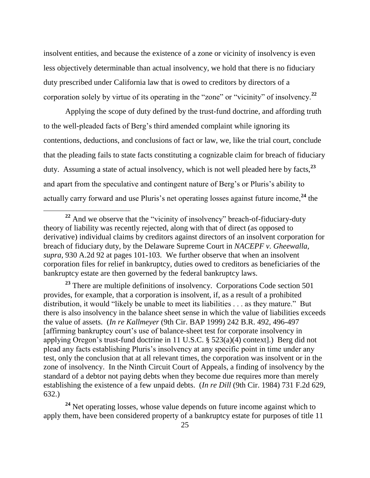insolvent entities, and because the existence of a zone or vicinity of insolvency is even less objectively determinable than actual insolvency, we hold that there is no fiduciary duty prescribed under California law that is owed to creditors by directors of a corporation solely by virtue of its operating in the "zone" or "vicinity" of insolvency.**<sup>22</sup>**

Applying the scope of duty defined by the trust-fund doctrine, and affording truth to the well-pleaded facts of Berg"s third amended complaint while ignoring its contentions, deductions, and conclusions of fact or law, we, like the trial court, conclude that the pleading fails to state facts constituting a cognizable claim for breach of fiduciary duty. Assuming a state of actual insolvency, which is not well pleaded here by facts,**<sup>23</sup>** and apart from the speculative and contingent nature of Berg"s or Pluris"s ability to actually carry forward and use Pluris's net operating losses against future income,<sup>24</sup> the

**<sup>22</sup>** And we observe that the "vicinity of insolvency" breach-of-fiduciary-duty theory of liability was recently rejected, along with that of direct (as opposed to derivative) individual claims by creditors against directors of an insolvent corporation for breach of fiduciary duty, by the Delaware Supreme Court in *NACEPF v. Gheewalla, supra,* 930 A.2d 92 at pages 101-103. We further observe that when an insolvent corporation files for relief in bankruptcy, duties owed to creditors as beneficiaries of the bankruptcy estate are then governed by the federal bankruptcy laws.

**<sup>23</sup>** There are multiple definitions of insolvency. Corporations Code section 501 provides, for example, that a corporation is insolvent, if, as a result of a prohibited distribution, it would "likely be unable to meet its liabilities . . . as they mature." But there is also insolvency in the balance sheet sense in which the value of liabilities exceeds the value of assets. (*In re Kallmeyer* (9th Cir. BAP 1999) 242 B.R. 492, 496-497 [affirming bankruptcy court"s use of balance-sheet test for corporate insolvency in applying Oregon's trust-fund doctrine in 11 U.S.C.  $\S$  523(a)(4) context. Berg did not plead any facts establishing Pluris"s insolvency at any specific point in time under any test, only the conclusion that at all relevant times, the corporation was insolvent or in the zone of insolvency. In the Ninth Circuit Court of Appeals, a finding of insolvency by the standard of a debtor not paying debts when they become due requires more than merely establishing the existence of a few unpaid debts. (*In re Dill* (9th Cir. 1984) 731 F.2d 629, 632.)

<sup>&</sup>lt;sup>24</sup> Net operating losses, whose value depends on future income against which to apply them, have been considered property of a bankruptcy estate for purposes of title 11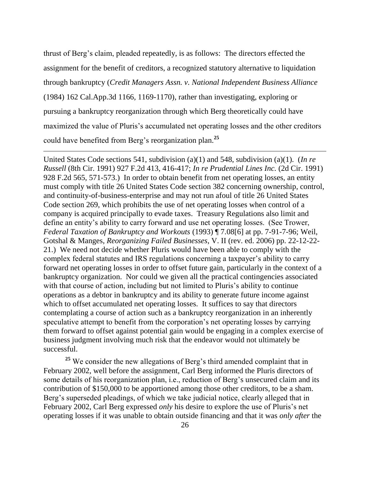thrust of Berg"s claim, pleaded repeatedly, is as follows: The directors effected the assignment for the benefit of creditors, a recognized statutory alternative to liquidation through bankruptcy (*Credit Managers Assn. v. National Independent Business Alliance* (1984) 162 Cal.App.3d 1166, 1169-1170), rather than investigating, exploring or pursuing a bankruptcy reorganization through which Berg theoretically could have maximized the value of Pluris's accumulated net operating losses and the other creditors could have benefited from Berg"s reorganization plan.**<sup>25</sup>**

 $\overline{a}$ 

United States Code sections 541, subdivision (a)(1) and 548, subdivision (a)(1). (*In re Russell* (8th Cir. 1991) 927 F.2d 413, 416-417; *In re Prudential Lines Inc.* (2d Cir. 1991) 928 F.2d 565, 571-573.) In order to obtain benefit from net operating losses, an entity must comply with title 26 United States Code section 382 concerning ownership, control, and continuity-of-business-enterprise and may not run afoul of title 26 United States Code section 269, which prohibits the use of net operating losses when control of a company is acquired principally to evade taxes. Treasury Regulations also limit and define an entity"s ability to carry forward and use net operating losses. (See Trower, *Federal Taxation of Bankruptcy and Workouts* (1993) ¶ 7.08[6] at pp. 7-91-7-96; Weil, Gotshal & Manges, *Reorganizing Failed Businesses*, V. II (rev. ed. 2006) pp. 22-12-22- 21.) We need not decide whether Pluris would have been able to comply with the complex federal statutes and IRS regulations concerning a taxpayer"s ability to carry forward net operating losses in order to offset future gain, particularly in the context of a bankruptcy organization. Nor could we given all the practical contingencies associated with that course of action, including but not limited to Pluris's ability to continue operations as a debtor in bankruptcy and its ability to generate future income against which to offset accumulated net operating losses. It suffices to say that directors contemplating a course of action such as a bankruptcy reorganization in an inherently speculative attempt to benefit from the corporation's net operating losses by carrying them forward to offset against potential gain would be engaging in a complex exercise of business judgment involving much risk that the endeavor would not ultimately be successful.

<sup>25</sup> We consider the new allegations of Berg's third amended complaint that in February 2002, well before the assignment, Carl Berg informed the Pluris directors of some details of his reorganization plan, i.e., reduction of Berg's unsecured claim and its contribution of \$150,000 to be apportioned among those other creditors, to be a sham. Berg's superseded pleadings, of which we take judicial notice, clearly alleged that in February 2002, Carl Berg expressed *only* his desire to explore the use of Pluris's net operating losses if it was unable to obtain outside financing and that it was *only after* the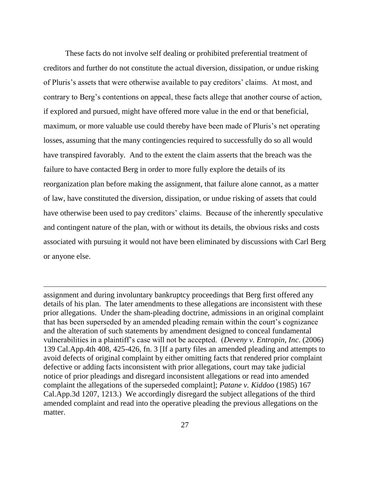These facts do not involve self dealing or prohibited preferential treatment of creditors and further do not constitute the actual diversion, dissipation, or undue risking of Pluris's assets that were otherwise available to pay creditors' claims. At most, and contrary to Berg"s contentions on appeal, these facts allege that another course of action, if explored and pursued, might have offered more value in the end or that beneficial, maximum, or more valuable use could thereby have been made of Pluris's net operating losses, assuming that the many contingencies required to successfully do so all would have transpired favorably. And to the extent the claim asserts that the breach was the failure to have contacted Berg in order to more fully explore the details of its reorganization plan before making the assignment, that failure alone cannot, as a matter of law, have constituted the diversion, dissipation, or undue risking of assets that could have otherwise been used to pay creditors' claims. Because of the inherently speculative and contingent nature of the plan, with or without its details, the obvious risks and costs associated with pursuing it would not have been eliminated by discussions with Carl Berg or anyone else.

assignment and during involuntary bankruptcy proceedings that Berg first offered any details of his plan. The later amendments to these allegations are inconsistent with these prior allegations. Under the sham-pleading doctrine, admissions in an original complaint that has been superseded by an amended pleading remain within the court"s cognizance and the alteration of such statements by amendment designed to conceal fundamental vulnerabilities in a plaintiff"s case will not be accepted. (*Deveny v. Entropin, Inc*. (2006) 139 Cal.App.4th 408, 425-426, fn. 3 [If a party files an amended pleading and attempts to avoid defects of original complaint by either omitting facts that rendered prior complaint defective or adding facts inconsistent with prior allegations, court may take judicial notice of prior pleadings and disregard inconsistent allegations or read into amended complaint the allegations of the superseded complaint]; *Patane v. Kiddoo* (1985) 167 Cal.App.3d 1207, 1213.) We accordingly disregard the subject allegations of the third amended complaint and read into the operative pleading the previous allegations on the matter.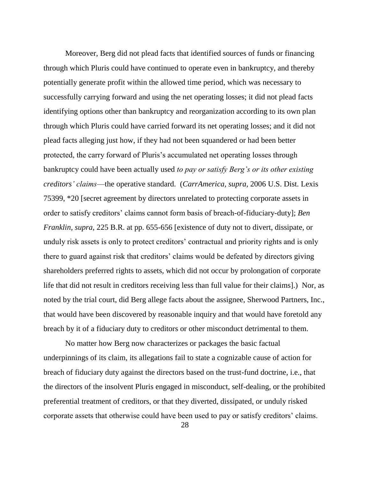Moreover, Berg did not plead facts that identified sources of funds or financing through which Pluris could have continued to operate even in bankruptcy, and thereby potentially generate profit within the allowed time period, which was necessary to successfully carrying forward and using the net operating losses; it did not plead facts identifying options other than bankruptcy and reorganization according to its own plan through which Pluris could have carried forward its net operating losses; and it did not plead facts alleging just how, if they had not been squandered or had been better protected, the carry forward of Pluris's accumulated net operating losses through bankruptcy could have been actually used *to pay or satisfy Berg's or its other existing creditors' claims*—the operative standard. (*CarrAmerica, supra,* 2006 U.S. Dist. Lexis 75399, \*20 [secret agreement by directors unrelated to protecting corporate assets in order to satisfy creditors" claims cannot form basis of breach-of-fiduciary-duty]; *Ben Franklin, supra*, 225 B.R. at pp. 655-656 [existence of duty not to divert, dissipate, or unduly risk assets is only to protect creditors" contractual and priority rights and is only there to guard against risk that creditors" claims would be defeated by directors giving shareholders preferred rights to assets, which did not occur by prolongation of corporate life that did not result in creditors receiving less than full value for their claims].) Nor, as noted by the trial court, did Berg allege facts about the assignee, Sherwood Partners, Inc., that would have been discovered by reasonable inquiry and that would have foretold any breach by it of a fiduciary duty to creditors or other misconduct detrimental to them.

No matter how Berg now characterizes or packages the basic factual underpinnings of its claim, its allegations fail to state a cognizable cause of action for breach of fiduciary duty against the directors based on the trust-fund doctrine, i.e., that the directors of the insolvent Pluris engaged in misconduct, self-dealing, or the prohibited preferential treatment of creditors, or that they diverted, dissipated, or unduly risked corporate assets that otherwise could have been used to pay or satisfy creditors" claims.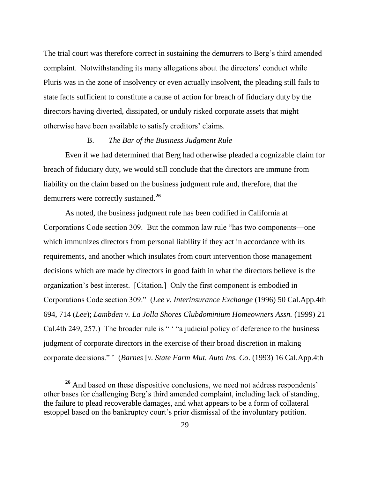The trial court was therefore correct in sustaining the demurrers to Berg's third amended complaint. Notwithstanding its many allegations about the directors" conduct while Pluris was in the zone of insolvency or even actually insolvent, the pleading still fails to state facts sufficient to constitute a cause of action for breach of fiduciary duty by the directors having diverted, dissipated, or unduly risked corporate assets that might otherwise have been available to satisfy creditors" claims.

#### B. *The Bar of the Business Judgment Rule*

Even if we had determined that Berg had otherwise pleaded a cognizable claim for breach of fiduciary duty, we would still conclude that the directors are immune from liability on the claim based on the business judgment rule and, therefore, that the demurrers were correctly sustained.**<sup>26</sup>**

As noted, the business judgment rule has been codified in California at Corporations Code section 309. But the common law rule "has two components—one which immunizes directors from personal liability if they act in accordance with its requirements, and another which insulates from court intervention those management decisions which are made by directors in good faith in what the directors believe is the organization"s best interest. [Citation.] Only the first component is embodied in Corporations Code section 309." (*Lee v. Interinsurance Exchange* (1996) 50 Cal.App.4th 694, 714 (*Lee*); *Lambden v. La Jolla Shores Clubdominium Homeowners Assn.* (1999) 21 Cal.4th 249, 257.) The broader rule is " "a judicial policy of deference to the business judgment of corporate directors in the exercise of their broad discretion in making corporate decisions." " (*Barnes* [*v. State Farm Mut. Auto Ins. Co*. (1993) 16 Cal.App.4th

<sup>&</sup>lt;sup>26</sup> And based on these dispositive conclusions, we need not address respondents' other bases for challenging Berg"s third amended complaint, including lack of standing, the failure to plead recoverable damages, and what appears to be a form of collateral estoppel based on the bankruptcy court's prior dismissal of the involuntary petition.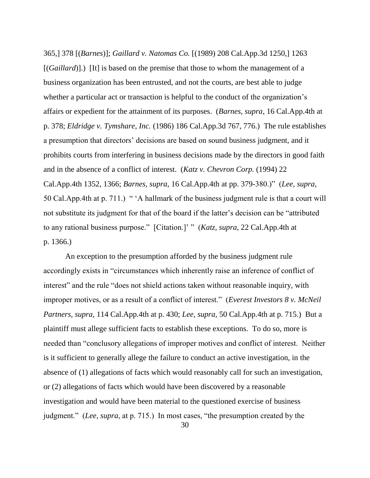365,] 378 [(*Barnes*)]; *Gaillard v. Natomas Co.* [(1989) 208 Cal.App.3d 1250,] 1263 [(*Gaillard*)].) [It] is based on the premise that those to whom the management of a business organization has been entrusted, and not the courts, are best able to judge whether a particular act or transaction is helpful to the conduct of the organization's affairs or expedient for the attainment of its purposes. (*Barnes, supra*, 16 Cal.App.4th at p. 378; *Eldridge v. Tymshare, Inc.* (1986) 186 Cal.App.3d 767, 776.) The rule establishes a presumption that directors' decisions are based on sound business judgment, and it prohibits courts from interfering in business decisions made by the directors in good faith and in the absence of a conflict of interest. (*Katz v. Chevron Corp.* (1994) 22 Cal.App.4th 1352, 1366; *Barnes, supra*, 16 Cal.App.4th at pp. 379-380.)" (*Lee, supra,*  50 Cal.App.4th at p. 711.) " 'A hallmark of the business judgment rule is that a court will not substitute its judgment for that of the board if the latter's decision can be "attributed" to any rational business purpose." [Citation.]" " (*Katz, supra*, 22 Cal.App.4th at p. 1366.)

An exception to the presumption afforded by the business judgment rule accordingly exists in "circumstances which inherently raise an inference of conflict of interest" and the rule "does not shield actions taken without reasonable inquiry, with improper motives, or as a result of a conflict of interest." (*Everest Investors 8 v. McNeil Partners, supra,* 114 Cal.App.4th at p. 430; *Lee, supra*, 50 Cal.App.4th at p. 715.) But a plaintiff must allege sufficient facts to establish these exceptions. To do so, more is needed than "conclusory allegations of improper motives and conflict of interest. Neither is it sufficient to generally allege the failure to conduct an active investigation, in the absence of (1) allegations of facts which would reasonably call for such an investigation, or (2) allegations of facts which would have been discovered by a reasonable investigation and would have been material to the questioned exercise of business judgment." (*Lee, supra*, at p. 715.) In most cases, "the presumption created by the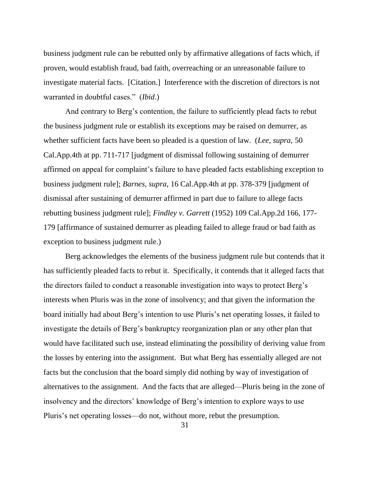business judgment rule can be rebutted only by affirmative allegations of facts which, if proven, would establish fraud, bad faith, overreaching or an unreasonable failure to investigate material facts. [Citation.] Interference with the discretion of directors is not warranted in doubtful cases." (*Ibid*.)

And contrary to Berg"s contention, the failure to sufficiently plead facts to rebut the business judgment rule or establish its exceptions may be raised on demurrer, as whether sufficient facts have been so pleaded is a question of law. (*Lee, supra,* 50 Cal.App.4th at pp. 711-717 [judgment of dismissal following sustaining of demurrer affirmed on appeal for complaint"s failure to have pleaded facts establishing exception to business judgment rule]; *Barnes, supra*, 16 Cal.App.4th at pp. 378-379 [judgment of dismissal after sustaining of demurrer affirmed in part due to failure to allege facts rebutting business judgment rule]; *Findley v. Garrett* (1952) 109 Cal.App.2d 166, 177- 179 [affirmance of sustained demurrer as pleading failed to allege fraud or bad faith as exception to business judgment rule.)

Berg acknowledges the elements of the business judgment rule but contends that it has sufficiently pleaded facts to rebut it. Specifically, it contends that it alleged facts that the directors failed to conduct a reasonable investigation into ways to protect Berg"s interests when Pluris was in the zone of insolvency; and that given the information the board initially had about Berg"s intention to use Pluris"s net operating losses, it failed to investigate the details of Berg"s bankruptcy reorganization plan or any other plan that would have facilitated such use, instead eliminating the possibility of deriving value from the losses by entering into the assignment. But what Berg has essentially alleged are not facts but the conclusion that the board simply did nothing by way of investigation of alternatives to the assignment. And the facts that are alleged—Pluris being in the zone of insolvency and the directors' knowledge of Berg's intention to explore ways to use Pluris's net operating losses—do not, without more, rebut the presumption.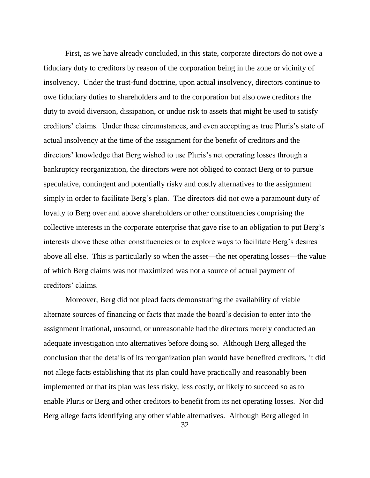First, as we have already concluded, in this state, corporate directors do not owe a fiduciary duty to creditors by reason of the corporation being in the zone or vicinity of insolvency. Under the trust-fund doctrine, upon actual insolvency, directors continue to owe fiduciary duties to shareholders and to the corporation but also owe creditors the duty to avoid diversion, dissipation, or undue risk to assets that might be used to satisfy creditors' claims. Under these circumstances, and even accepting as true Pluris's state of actual insolvency at the time of the assignment for the benefit of creditors and the directors' knowledge that Berg wished to use Pluris's net operating losses through a bankruptcy reorganization, the directors were not obliged to contact Berg or to pursue speculative, contingent and potentially risky and costly alternatives to the assignment simply in order to facilitate Berg's plan. The directors did not owe a paramount duty of loyalty to Berg over and above shareholders or other constituencies comprising the collective interests in the corporate enterprise that gave rise to an obligation to put Berg"s interests above these other constituencies or to explore ways to facilitate Berg"s desires above all else. This is particularly so when the asset—the net operating losses—the value of which Berg claims was not maximized was not a source of actual payment of creditors' claims.

Moreover, Berg did not plead facts demonstrating the availability of viable alternate sources of financing or facts that made the board"s decision to enter into the assignment irrational, unsound, or unreasonable had the directors merely conducted an adequate investigation into alternatives before doing so. Although Berg alleged the conclusion that the details of its reorganization plan would have benefited creditors, it did not allege facts establishing that its plan could have practically and reasonably been implemented or that its plan was less risky, less costly, or likely to succeed so as to enable Pluris or Berg and other creditors to benefit from its net operating losses. Nor did Berg allege facts identifying any other viable alternatives. Although Berg alleged in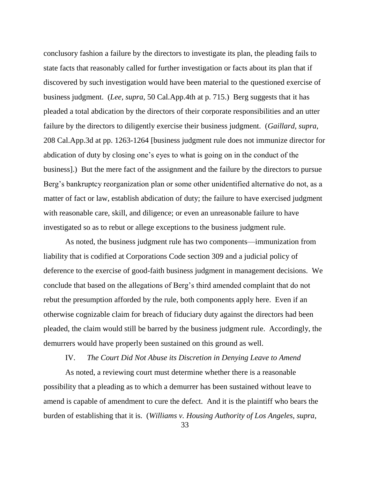conclusory fashion a failure by the directors to investigate its plan, the pleading fails to state facts that reasonably called for further investigation or facts about its plan that if discovered by such investigation would have been material to the questioned exercise of business judgment. (*Lee, supra*, 50 Cal.App.4th at p. 715.) Berg suggests that it has pleaded a total abdication by the directors of their corporate responsibilities and an utter failure by the directors to diligently exercise their business judgment. (*Gaillard, supra*, 208 Cal.App.3d at pp. 1263-1264 [business judgment rule does not immunize director for abdication of duty by closing one"s eyes to what is going on in the conduct of the business].) But the mere fact of the assignment and the failure by the directors to pursue Berg's bankruptcy reorganization plan or some other unidentified alternative do not, as a matter of fact or law, establish abdication of duty; the failure to have exercised judgment with reasonable care, skill, and diligence; or even an unreasonable failure to have investigated so as to rebut or allege exceptions to the business judgment rule.

As noted, the business judgment rule has two components—immunization from liability that is codified at Corporations Code section 309 and a judicial policy of deference to the exercise of good-faith business judgment in management decisions. We conclude that based on the allegations of Berg"s third amended complaint that do not rebut the presumption afforded by the rule, both components apply here. Even if an otherwise cognizable claim for breach of fiduciary duty against the directors had been pleaded, the claim would still be barred by the business judgment rule. Accordingly, the demurrers would have properly been sustained on this ground as well.

#### IV. *The Court Did Not Abuse its Discretion in Denying Leave to Amend*

As noted, a reviewing court must determine whether there is a reasonable possibility that a pleading as to which a demurrer has been sustained without leave to amend is capable of amendment to cure the defect. And it is the plaintiff who bears the burden of establishing that it is. (*Williams v. Housing Authority of Los Angeles, supra*,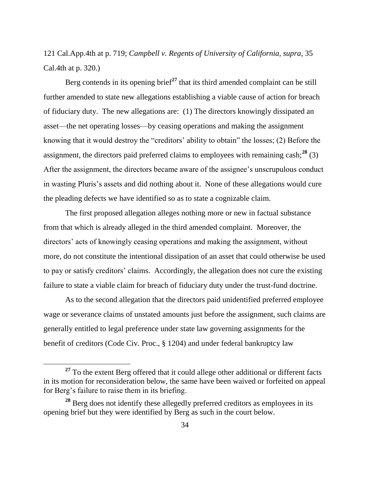121 Cal.App.4th at p. 719; *Campbell v. Regents of University of California, supra*, 35 Cal.4th at p. 320.)

Berg contends in its opening brief<sup>27</sup> that its third amended complaint can be still further amended to state new allegations establishing a viable cause of action for breach of fiduciary duty. The new allegations are: (1) The directors knowingly dissipated an asset—the net operating losses—by ceasing operations and making the assignment knowing that it would destroy the "creditors" ability to obtain" the losses; (2) Before the assignment, the directors paid preferred claims to employees with remaining cash;**<sup>28</sup>** (3) After the assignment, the directors became aware of the assignee"s unscrupulous conduct in wasting Pluris's assets and did nothing about it. None of these allegations would cure the pleading defects we have identified so as to state a cognizable claim.

The first proposed allegation alleges nothing more or new in factual substance from that which is already alleged in the third amended complaint. Moreover, the directors' acts of knowingly ceasing operations and making the assignment, without more, do not constitute the intentional dissipation of an asset that could otherwise be used to pay or satisfy creditors" claims. Accordingly, the allegation does not cure the existing failure to state a viable claim for breach of fiduciary duty under the trust-fund doctrine.

As to the second allegation that the directors paid unidentified preferred employee wage or severance claims of unstated amounts just before the assignment, such claims are generally entitled to legal preference under state law governing assignments for the benefit of creditors (Code Civ. Proc., § 1204) and under federal bankruptcy law

**<sup>27</sup>** To the extent Berg offered that it could allege other additional or different facts in its motion for reconsideration below, the same have been waived or forfeited on appeal for Berg"s failure to raise them in its briefing.

**<sup>28</sup>** Berg does not identify these allegedly preferred creditors as employees in its opening brief but they were identified by Berg as such in the court below.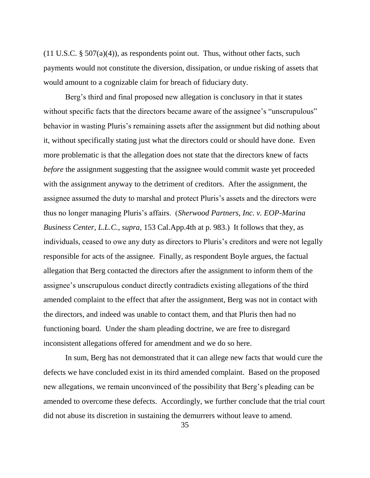$(11 \text{ U.S.C. } § 507(a)(4))$ , as respondents point out. Thus, without other facts, such payments would not constitute the diversion, dissipation, or undue risking of assets that would amount to a cognizable claim for breach of fiduciary duty.

Berg's third and final proposed new allegation is conclusory in that it states without specific facts that the directors became aware of the assignee's "unscrupulous" behavior in wasting Pluris's remaining assets after the assignment but did nothing about it, without specifically stating just what the directors could or should have done. Even more problematic is that the allegation does not state that the directors knew of facts *before* the assignment suggesting that the assignee would commit waste yet proceeded with the assignment anyway to the detriment of creditors. After the assignment, the assignee assumed the duty to marshal and protect Pluris's assets and the directors were thus no longer managing Pluris"s affairs. (*Sherwood Partners, Inc. v. EOP-Marina Business Center, L.L.C., supra*, 153 Cal.App.4th at p. 983.) It follows that they, as individuals, ceased to owe any duty as directors to Pluris's creditors and were not legally responsible for acts of the assignee. Finally, as respondent Boyle argues, the factual allegation that Berg contacted the directors after the assignment to inform them of the assignee's unscrupulous conduct directly contradicts existing allegations of the third amended complaint to the effect that after the assignment, Berg was not in contact with the directors, and indeed was unable to contact them, and that Pluris then had no functioning board. Under the sham pleading doctrine, we are free to disregard inconsistent allegations offered for amendment and we do so here.

In sum, Berg has not demonstrated that it can allege new facts that would cure the defects we have concluded exist in its third amended complaint. Based on the proposed new allegations, we remain unconvinced of the possibility that Berg"s pleading can be amended to overcome these defects. Accordingly, we further conclude that the trial court did not abuse its discretion in sustaining the demurrers without leave to amend.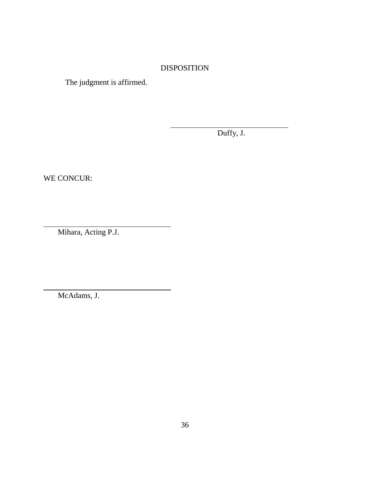## DISPOSITION

l

The judgment is affirmed.

Duffy, J.

WE CONCUR:

l

l

Mihara, Acting P.J.

McAdams, J.